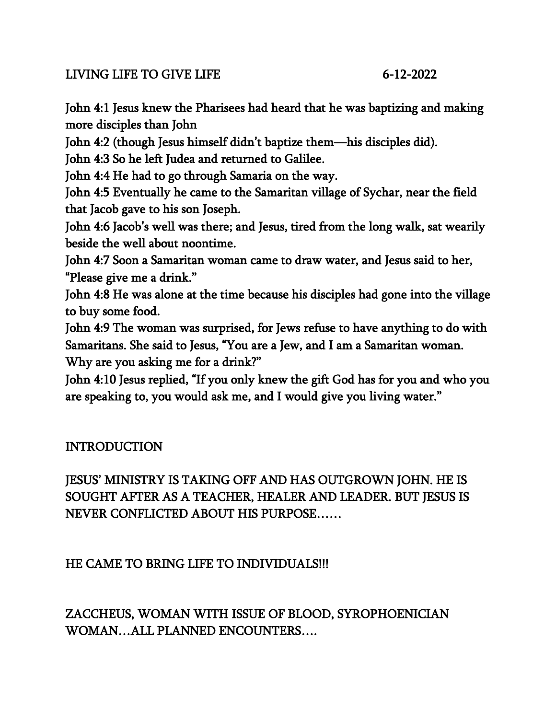#### LIVING LIFE TO GIVE LIFE 6-12-2022

John 4:1 Jesus knew the Pharisees had heard that he was baptizing and making more disciples than John

John 4:2 (though Jesus himself didn't baptize them—his disciples did).

John 4:3 So he left Judea and returned to Galilee.

John 4:4 He had to go through Samaria on the way.

John 4:5 Eventually he came to the Samaritan village of Sychar, near the field that Jacob gave to his son Joseph.

John 4:6 Jacob's well was there; and Jesus, tired from the long walk, sat wearily beside the well about noontime.

John 4:7 Soon a Samaritan woman came to draw water, and Jesus said to her, "Please give me a drink."

John 4:8 He was alone at the time because his disciples had gone into the village to buy some food.

John 4:9 The woman was surprised, for Jews refuse to have anything to do with Samaritans. She said to Jesus, "You are a Jew, and I am a Samaritan woman. Why are you asking me for a drink?"

John 4:10 Jesus replied, "If you only knew the gift God has for you and who you are speaking to, you would ask me, and I would give you living water."

# INTRODUCTION

JESUS' MINISTRY IS TAKING OFF AND HAS OUTGROWN JOHN. HE IS SOUGHT AFTER AS A TEACHER, HEALER AND LEADER. BUT JESUS IS NEVER CONFLICTED ABOUT HIS PURPOSE……

# HE CAME TO BRING LIFE TO INDIVIDUALS!!!

ZACCHEUS, WOMAN WITH ISSUE OF BLOOD, SYROPHOENICIAN WOMAN…ALL PLANNED ENCOUNTERS….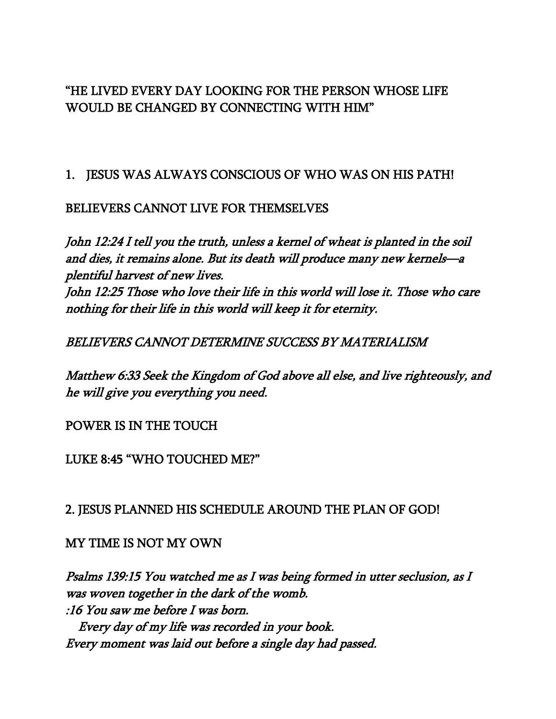#### "HE LIVED EVERY DAY LOOKING FOR THE PERSON WHOSE LIFE WOULD BE CHANGED BY CONNECTING WITH HIM"

1. JESUS WAS ALWAYS CONSCIOUS OF WHO WAS ON HIS PATH!

#### BELIEVERS CANNOT LIVE FOR THEMSELVES

John 12:24 I tell you the truth, unless a kernel of wheat is planted in the soil and dies, it remains alone. But its death will produce many new kernels—<sup>a</sup> plentiful harvest of new lives. John 12:25 Those who love their life in this world will lose it. Those who care nothing for their life in this world will keep it for eternity.

BELIEVERS CANNOT DETERMINE SUCCESS BY MATERIALISM

Matthew 6:33 Seek the Kingdom of God above all else, and live righteously, and he will give you everything you need.

POWER IS IN THE TOUCH

LUKE 8:45 "WHO TOUCHED ME?"

2. JESUS PLANNED HIS SCHEDULE AROUND THE PLAN OF GOD!

MY TIME IS NOT MY OWN

Psalms 139:15 You watched me as I was being formed in utter seclusion, as I was woven together in the dark of the womb. :16 You saw me before I was born. Every day of my life was recorded in your book. Every moment was laid out before a single day had passed.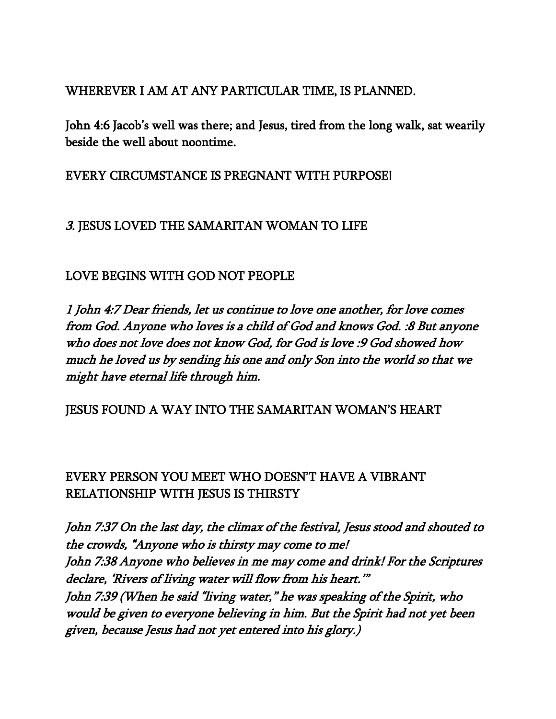#### WHEREVER I AM AT ANY PARTICULAR TIME, IS PLANNED.

John 4:6 Jacob's well was there; and Jesus, tired from the long walk, sat wearily beside the well about noontime.

#### EVERY CIRCUMSTANCE IS PREGNANT WITH PURPOSE!

## 3. JESUS LOVED THE SAMARITAN WOMAN TO LIFE

# LOVE BEGINS WITH GOD NOT PEOPLE

1 John 4:7 Dear friends, let us continue to love one another, for love comes from God. Anyone who loves is a child of God and knows God. :8 But anyone who does not love does not know God, for God is love :9 God showed how much he loved us by sending his one and only Son into the world so that we might have eternal life through him.

#### JESUS FOUND A WAY INTO THE SAMARITAN WOMAN'S HEART

## EVERY PERSON YOU MEET WHO DOESN'T HAVE A VIBRANT RELATIONSHIP WITH JESUS IS THIRSTY

John 7:37 On the last day, the climax of the festival, Jesus stood and shouted to the crowds, "Anyone who is thirsty may come to me! John 7:38 Anyone who believes in me may come and drink! For the Scriptures declare, 'Rivers of living water will flow from his heart.'" John 7:39 (When he said "living water," he was speaking of the Spirit, who would be given to everyone believing in him. But the Spirit had not yet been given, because Jesus had not yet entered into his glory.)